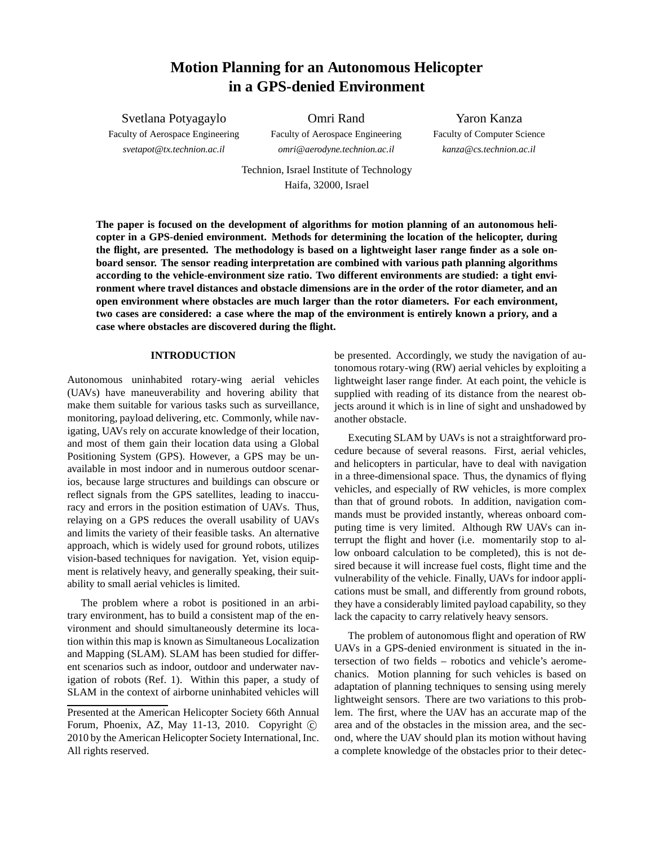# **Motion Planning for an Autonomous Helicopter in a GPS-denied Environment**

Svetlana Potyagaylo Faculty of Aerospace Engineering *svetapot@tx.technion.ac.il*

Omri Rand Faculty of Aerospace Engineering

*omri@aerodyne.technion.ac.il*

Yaron Kanza Faculty of Computer Science *kanza@cs.technion.ac.il*

Technion, Israel Institute of Technology Haifa, 32000, Israel

**The paper is focused on the development of algorithms for motion planning of an autonomous helicopter in a GPS-denied environment. Methods for determining the location of the helicopter, during the flight, are presented. The methodology is based on a lightweight laser range finder as a sole onboard sensor. The sensor reading interpretation are combined with various path planning algorithms according to the vehicle-environment size ratio. Two different environments are studied: a tight environment where travel distances and obstacle dimensions are in the order of the rotor diameter, and an open environment where obstacles are much larger than the rotor diameters. For each environment, two cases are considered: a case where the map of the environment is entirely known a priory, and a case where obstacles are discovered during the flight.**

#### **INTRODUCTION**

Autonomous uninhabited rotary-wing aerial vehicles (UAVs) have maneuverability and hovering ability that make them suitable for various tasks such as surveillance, monitoring, payload delivering, etc. Commonly, while navigating, UAVs rely on accurate knowledge of their location, and most of them gain their location data using a Global Positioning System (GPS). However, a GPS may be unavailable in most indoor and in numerous outdoor scenarios, because large structures and buildings can obscure or reflect signals from the GPS satellites, leading to inaccuracy and errors in the position estimation of UAVs. Thus, relaying on a GPS reduces the overall usability of UAVs and limits the variety of their feasible tasks. An alternative approach, which is widely used for ground robots, utilizes vision-based techniques for navigation. Yet, vision equipment is relatively heavy, and generally speaking, their suitability to small aerial vehicles is limited.

The problem where a robot is positioned in an arbitrary environment, has to build a consistent map of the environment and should simultaneously determine its location within this map is known as Simultaneous Localization and Mapping (SLAM). SLAM has been studied for different scenarios such as indoor, outdoor and underwater navigation of robots (Ref. 1). Within this paper, a study of SLAM in the context of airborne uninhabited vehicles will

be presented. Accordingly, we study the navigation of autonomous rotary-wing (RW) aerial vehicles by exploiting a lightweight laser range finder. At each point, the vehicle is supplied with reading of its distance from the nearest objects around it which is in line of sight and unshadowed by another obstacle.

Executing SLAM by UAVs is not a straightforward procedure because of several reasons. First, aerial vehicles, and helicopters in particular, have to deal with navigation in a three-dimensional space. Thus, the dynamics of flying vehicles, and especially of RW vehicles, is more complex than that of ground robots. In addition, navigation commands must be provided instantly, whereas onboard computing time is very limited. Although RW UAVs can interrupt the flight and hover (i.e. momentarily stop to allow onboard calculation to be completed), this is not desired because it will increase fuel costs, flight time and the vulnerability of the vehicle. Finally, UAVs for indoor applications must be small, and differently from ground robots, they have a considerably limited payload capability, so they lack the capacity to carry relatively heavy sensors.

The problem of autonomous flight and operation of RW UAVs in a GPS-denied environment is situated in the intersection of two fields – robotics and vehicle's aeromechanics. Motion planning for such vehicles is based on adaptation of planning techniques to sensing using merely lightweight sensors. There are two variations to this problem. The first, where the UAV has an accurate map of the area and of the obstacles in the mission area, and the second, where the UAV should plan its motion without having a complete knowledge of the obstacles prior to their detec-

Presented at the American Helicopter Society 66th Annual Forum, Phoenix, AZ, May 11-13, 2010. Copyright  $\odot$ 2010 by the American Helicopter Society International, Inc. All rights reserved.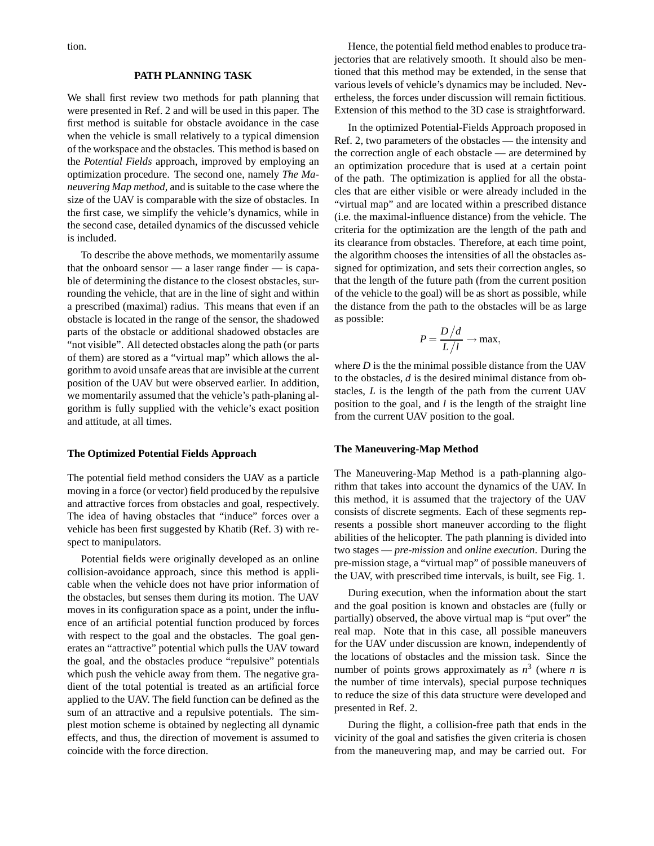tion.

#### **PATH PLANNING TASK**

We shall first review two methods for path planning that were presented in Ref. 2 and will be used in this paper. The first method is suitable for obstacle avoidance in the case when the vehicle is small relatively to a typical dimension of the workspace and the obstacles. This method is based on the *Potential Fields* approach, improved by employing an optimization procedure. The second one, namely *The Maneuvering Map method*, and is suitable to the case where the size of the UAV is comparable with the size of obstacles. In the first case, we simplify the vehicle's dynamics, while in the second case, detailed dynamics of the discussed vehicle is included.

To describe the above methods, we momentarily assume that the onboard sensor — a laser range finder — is capable of determining the distance to the closest obstacles, surrounding the vehicle, that are in the line of sight and within a prescribed (maximal) radius. This means that even if an obstacle is located in the range of the sensor, the shadowed parts of the obstacle or additional shadowed obstacles are "not visible". All detected obstacles along the path (or parts of them) are stored as a "virtual map" which allows the algorithm to avoid unsafe areas that are invisible at the current position of the UAV but were observed earlier. In addition, we momentarily assumed that the vehicle's path-planing algorithm is fully supplied with the vehicle's exact position and attitude, at all times.

#### **The Optimized Potential Fields Approach**

The potential field method considers the UAV as a particle moving in a force (or vector) field produced by the repulsive and attractive forces from obstacles and goal, respectively. The idea of having obstacles that "induce" forces over a vehicle has been first suggested by Khatib (Ref. 3) with respect to manipulators.

Potential fields were originally developed as an online collision-avoidance approach, since this method is applicable when the vehicle does not have prior information of the obstacles, but senses them during its motion. The UAV moves in its configuration space as a point, under the influence of an artificial potential function produced by forces with respect to the goal and the obstacles. The goal generates an "attractive" potential which pulls the UAV toward the goal, and the obstacles produce "repulsive" potentials which push the vehicle away from them. The negative gradient of the total potential is treated as an artificial force applied to the UAV. The field function can be defined as the sum of an attractive and a repulsive potentials. The simplest motion scheme is obtained by neglecting all dynamic effects, and thus, the direction of movement is assumed to coincide with the force direction.

Hence, the potential field method enables to produce trajectories that are relatively smooth. It should also be mentioned that this method may be extended, in the sense that various levels of vehicle's dynamics may be included. Nevertheless, the forces under discussion will remain fictitious. Extension of this method to the 3D case is straightforward.

In the optimized Potential-Fields Approach proposed in Ref. 2, two parameters of the obstacles — the intensity and the correction angle of each obstacle — are determined by an optimization procedure that is used at a certain point of the path. The optimization is applied for all the obstacles that are either visible or were already included in the "virtual map" and are located within a prescribed distance (i.e. the maximal-influence distance) from the vehicle. The criteria for the optimization are the length of the path and its clearance from obstacles. Therefore, at each time point, the algorithm chooses the intensities of all the obstacles assigned for optimization, and sets their correction angles, so that the length of the future path (from the current position of the vehicle to the goal) will be as short as possible, while the distance from the path to the obstacles will be as large as possible:

$$
P = \frac{D/d}{L/l} \to \max,
$$

where *D* is the the minimal possible distance from the UAV to the obstacles, *d* is the desired minimal distance from obstacles, *L* is the length of the path from the current UAV position to the goal, and *l* is the length of the straight line from the current UAV position to the goal.

#### **The Maneuvering-Map Method**

The Maneuvering-Map Method is a path-planning algorithm that takes into account the dynamics of the UAV. In this method, it is assumed that the trajectory of the UAV consists of discrete segments. Each of these segments represents a possible short maneuver according to the flight abilities of the helicopter. The path planning is divided into two stages — *pre-mission* and *online execution*. During the pre-mission stage, a "virtual map" of possible maneuvers of the UAV, with prescribed time intervals, is built, see Fig. 1.

During execution, when the information about the start and the goal position is known and obstacles are (fully or partially) observed, the above virtual map is "put over" the real map. Note that in this case, all possible maneuvers for the UAV under discussion are known, independently of the locations of obstacles and the mission task. Since the number of points grows approximately as  $n^3$  (where *n* is the number of time intervals), special purpose techniques to reduce the size of this data structure were developed and presented in Ref. 2.

During the flight, a collision-free path that ends in the vicinity of the goal and satisfies the given criteria is chosen from the maneuvering map, and may be carried out. For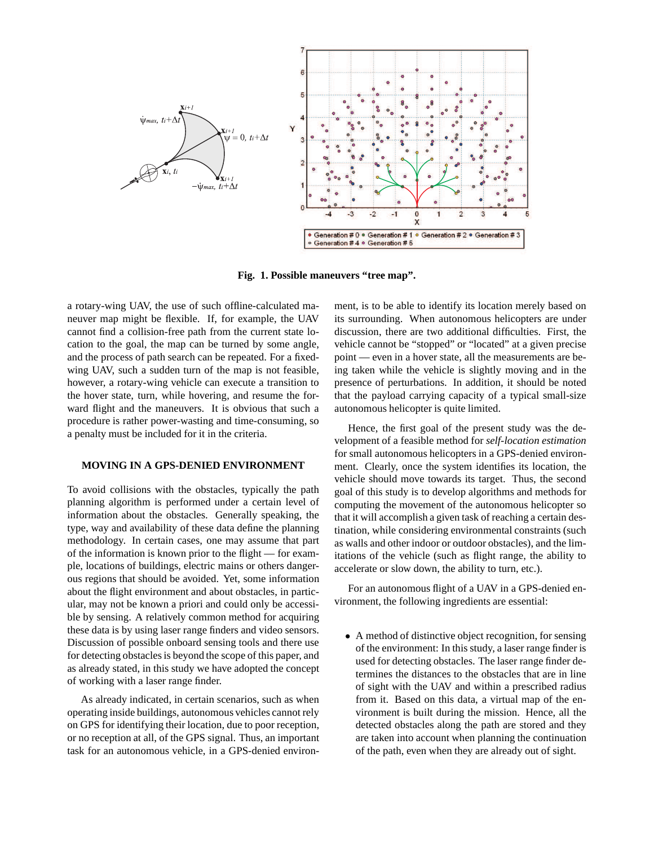

**Fig. 1. Possible maneuvers "tree map".**

a rotary-wing UAV, the use of such offline-calculated maneuver map might be flexible. If, for example, the UAV cannot find a collision-free path from the current state location to the goal, the map can be turned by some angle, and the process of path search can be repeated. For a fixedwing UAV, such a sudden turn of the map is not feasible, however, a rotary-wing vehicle can execute a transition to the hover state, turn, while hovering, and resume the forward flight and the maneuvers. It is obvious that such a procedure is rather power-wasting and time-consuming, so a penalty must be included for it in the criteria.

# **MOVING IN A GPS-DENIED ENVIRONMENT**

To avoid collisions with the obstacles, typically the path planning algorithm is performed under a certain level of information about the obstacles. Generally speaking, the type, way and availability of these data define the planning methodology. In certain cases, one may assume that part of the information is known prior to the flight — for example, locations of buildings, electric mains or others dangerous regions that should be avoided. Yet, some information about the flight environment and about obstacles, in particular, may not be known a priori and could only be accessible by sensing. A relatively common method for acquiring these data is by using laser range finders and video sensors. Discussion of possible onboard sensing tools and there use for detecting obstacles is beyond the scope of this paper, and as already stated, in this study we have adopted the concept of working with a laser range finder.

As already indicated, in certain scenarios, such as when operating inside buildings, autonomous vehicles cannot rely on GPS for identifying their location, due to poor reception, or no reception at all, of the GPS signal. Thus, an important task for an autonomous vehicle, in a GPS-denied environment, is to be able to identify its location merely based on its surrounding. When autonomous helicopters are under discussion, there are two additional difficulties. First, the vehicle cannot be "stopped" or "located" at a given precise point — even in a hover state, all the measurements are being taken while the vehicle is slightly moving and in the presence of perturbations. In addition, it should be noted that the payload carrying capacity of a typical small-size autonomous helicopter is quite limited.

Hence, the first goal of the present study was the development of a feasible method for *self-location estimation* for small autonomous helicopters in a GPS-denied environment. Clearly, once the system identifies its location, the vehicle should move towards its target. Thus, the second goal of this study is to develop algorithms and methods for computing the movement of the autonomous helicopter so that it will accomplish a given task of reaching a certain destination, while considering environmental constraints (such as walls and other indoor or outdoor obstacles), and the limitations of the vehicle (such as flight range, the ability to accelerate or slow down, the ability to turn, etc.).

For an autonomous flight of a UAV in a GPS-denied environment, the following ingredients are essential:

• A method of distinctive object recognition, for sensing of the environment: In this study, a laser range finder is used for detecting obstacles. The laser range finder determines the distances to the obstacles that are in line of sight with the UAV and within a prescribed radius from it. Based on this data, a virtual map of the environment is built during the mission. Hence, all the detected obstacles along the path are stored and they are taken into account when planning the continuation of the path, even when they are already out of sight.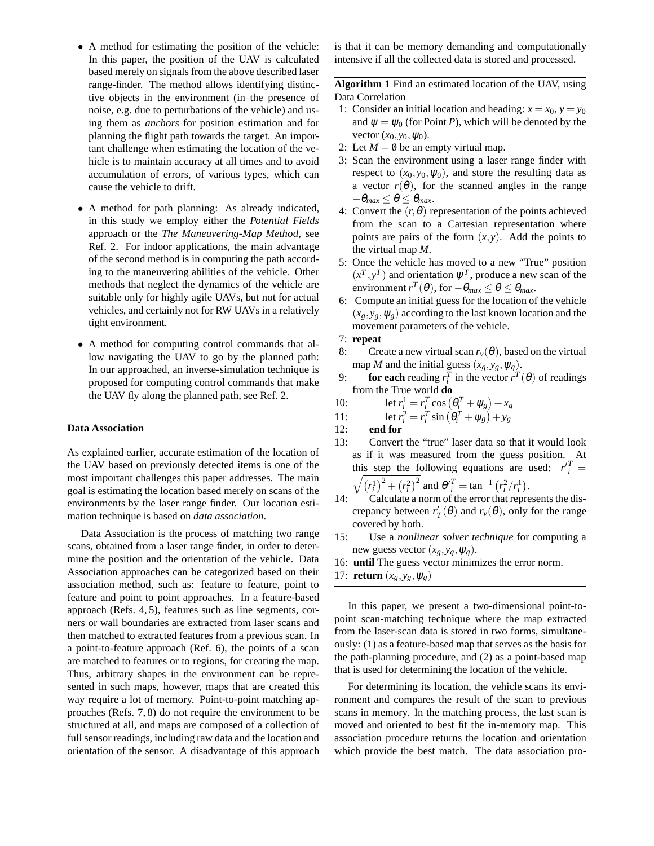- A method for estimating the position of the vehicle: In this paper, the position of the UAV is calculated based merely on signals from the above described laser range-finder. The method allows identifying distinctive objects in the environment (in the presence of noise, e.g. due to perturbations of the vehicle) and using them as *anchors* for position estimation and for planning the flight path towards the target. An important challenge when estimating the location of the vehicle is to maintain accuracy at all times and to avoid accumulation of errors, of various types, which can cause the vehicle to drift.
- A method for path planning: As already indicated, in this study we employ either the *Potential Fields* approach or the *The Maneuvering-Map Method*, see Ref. 2. For indoor applications, the main advantage of the second method is in computing the path according to the maneuvering abilities of the vehicle. Other methods that neglect the dynamics of the vehicle are suitable only for highly agile UAVs, but not for actual vehicles, and certainly not for RW UAVs in a relatively tight environment.
- A method for computing control commands that allow navigating the UAV to go by the planned path: In our approached, an inverse-simulation technique is proposed for computing control commands that make the UAV fly along the planned path, see Ref. 2.

### **Data Association**

As explained earlier, accurate estimation of the location of the UAV based on previously detected items is one of the most important challenges this paper addresses. The main goal is estimating the location based merely on scans of the environments by the laser range finder. Our location estimation technique is based on *data association*.

Data Association is the process of matching two range scans, obtained from a laser range finder, in order to determine the position and the orientation of the vehicle. Data Association approaches can be categorized based on their association method, such as: feature to feature, point to feature and point to point approaches. In a feature-based approach (Refs. 4, 5), features such as line segments, corners or wall boundaries are extracted from laser scans and then matched to extracted features from a previous scan. In a point-to-feature approach (Ref. 6), the points of a scan are matched to features or to regions, for creating the map. Thus, arbitrary shapes in the environment can be represented in such maps, however, maps that are created this way require a lot of memory. Point-to-point matching approaches (Refs. 7, 8) do not require the environment to be structured at all, and maps are composed of a collection of full sensor readings, including raw data and the location and orientation of the sensor. A disadvantage of this approach is that it can be memory demanding and computationally intensive if all the collected data is stored and processed.

**Algorithm 1** Find an estimated location of the UAV, using Data Correlation

- 1: Consider an initial location and heading:  $x = x_0$ ,  $y = y_0$ and  $\psi = \psi_0$  (for Point *P*), which will be denoted by the vector  $(x_0, y_0, \psi_0)$ .
- 2: Let  $M = \emptyset$  be an empty virtual map.
- 3: Scan the environment using a laser range finder with respect to  $(x_0, y_0, \psi_0)$ , and store the resulting data as a vector  $r(\theta)$ , for the scanned angles in the range  $-\theta_{max} \leq \theta \leq \theta_{max}$ .
- 4: Convert the  $(r, \theta)$  representation of the points achieved from the scan to a Cartesian representation where points are pairs of the form  $(x, y)$ . Add the points to the virtual map *M*.
- 5: Once the vehicle has moved to a new "True" position  $(x^T, y^T)$  and orientation  $\psi^T$ , produce a new scan of the environment  $r^T(\theta)$ , for  $-\theta_{max} \leq \theta \leq \theta_{max}$ .
- 6: Compute an initial guess for the location of the vehicle  $(x_g, y_g, \psi_g)$  according to the last known location and the movement parameters of the vehicle.
- 7: **repeat**
- 8: Create a new virtual scan  $r_v(\theta)$ , based on the virtual map *M* and the initial guess  $(x_g, y_g, \psi_g)$ .
- 9: **for each** reading  $r_i^T$  in the vector  $\vec{r}^T(\theta)$  of readings from the True world **do**
- 10: let  $r_i^1 = r_i^T \cos(\theta_i^T + \psi_g) + x_g$
- 11: let  $r_i^2 = r_i^T \sin(\theta_i^T + \psi_g) + y_g$
- 12: **end for**
- 13: Convert the "true" laser data so that it would look as if it was measured from the guess position. At this step the following equations are used:  $r_i^T =$

$$
\sqrt{\left(r_i^1\right)^2 + \left(r_i^2\right)^2}
$$
 and 
$$
\theta_i^T = \tan^{-1}\left(r_i^2/r_i^1\right).
$$

- 14: Calculate a norm of the error that represents the discrepancy between  $r'_T(\theta)$  and  $r_\nu(\theta)$ , only for the range covered by both.
- 15: Use a *nonlinear solver technique* for computing a new guess vector  $(x_g, y_g, \psi_g)$ .
- 16: **until** The guess vector minimizes the error norm.

17: **return**  $(x_g, y_g, \psi_g)$ 

In this paper, we present a two-dimensional point-topoint scan-matching technique where the map extracted from the laser-scan data is stored in two forms, simultaneously: (1) as a feature-based map that serves as the basis for the path-planning procedure, and (2) as a point-based map that is used for determining the location of the vehicle.

For determining its location, the vehicle scans its environment and compares the result of the scan to previous scans in memory. In the matching process, the last scan is moved and oriented to best fit the in-memory map. This association procedure returns the location and orientation which provide the best match. The data association pro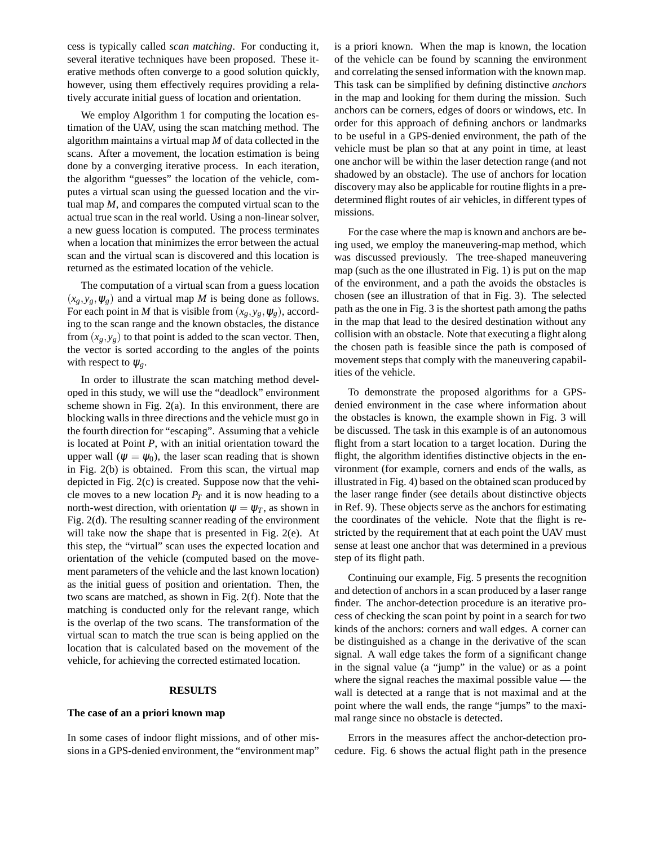cess is typically called *scan matching*. For conducting it, several iterative techniques have been proposed. These iterative methods often converge to a good solution quickly, however, using them effectively requires providing a relatively accurate initial guess of location and orientation.

We employ Algorithm 1 for computing the location estimation of the UAV, using the scan matching method. The algorithm maintains a virtual map *M* of data collected in the scans. After a movement, the location estimation is being done by a converging iterative process. In each iteration, the algorithm "guesses" the location of the vehicle, computes a virtual scan using the guessed location and the virtual map *M*, and compares the computed virtual scan to the actual true scan in the real world. Using a non-linear solver, a new guess location is computed. The process terminates when a location that minimizes the error between the actual scan and the virtual scan is discovered and this location is returned as the estimated location of the vehicle.

The computation of a virtual scan from a guess location  $(x_g, y_g, \psi_g)$  and a virtual map *M* is being done as follows. For each point in *M* that is visible from  $(x_g, y_g, \psi_g)$ , according to the scan range and the known obstacles, the distance from  $(x_g, y_g)$  to that point is added to the scan vector. Then, the vector is sorted according to the angles of the points with respect to  $\psi_g$ .

In order to illustrate the scan matching method developed in this study, we will use the "deadlock" environment scheme shown in Fig. 2(a). In this environment, there are blocking walls in three directions and the vehicle must go in the fourth direction for "escaping". Assuming that a vehicle is located at Point *P*, with an initial orientation toward the upper wall ( $\psi = \psi_0$ ), the laser scan reading that is shown in Fig. 2(b) is obtained. From this scan, the virtual map depicted in Fig. 2(c) is created. Suppose now that the vehicle moves to a new location  $P_T$  and it is now heading to a north-west direction, with orientation  $\psi = \psi_T$ , as shown in Fig. 2(d). The resulting scanner reading of the environment will take now the shape that is presented in Fig. 2(e). At this step, the "virtual" scan uses the expected location and orientation of the vehicle (computed based on the movement parameters of the vehicle and the last known location) as the initial guess of position and orientation. Then, the two scans are matched, as shown in Fig. 2(f). Note that the matching is conducted only for the relevant range, which is the overlap of the two scans. The transformation of the virtual scan to match the true scan is being applied on the location that is calculated based on the movement of the vehicle, for achieving the corrected estimated location.

# **RESULTS**

#### **The case of an a priori known map**

In some cases of indoor flight missions, and of other missions in a GPS-denied environment, the "environment map"

is a priori known. When the map is known, the location of the vehicle can be found by scanning the environment and correlating the sensed information with the known map. This task can be simplified by defining distinctive *anchors* in the map and looking for them during the mission. Such anchors can be corners, edges of doors or windows, etc. In order for this approach of defining anchors or landmarks to be useful in a GPS-denied environment, the path of the vehicle must be plan so that at any point in time, at least one anchor will be within the laser detection range (and not shadowed by an obstacle). The use of anchors for location discovery may also be applicable for routine flights in a predetermined flight routes of air vehicles, in different types of missions.

For the case where the map is known and anchors are being used, we employ the maneuvering-map method, which was discussed previously. The tree-shaped maneuvering map (such as the one illustrated in Fig. 1) is put on the map of the environment, and a path the avoids the obstacles is chosen (see an illustration of that in Fig. 3). The selected path as the one in Fig. 3 is the shortest path among the paths in the map that lead to the desired destination without any collision with an obstacle. Note that executing a flight along the chosen path is feasible since the path is composed of movement steps that comply with the maneuvering capabilities of the vehicle.

To demonstrate the proposed algorithms for a GPSdenied environment in the case where information about the obstacles is known, the example shown in Fig. 3 will be discussed. The task in this example is of an autonomous flight from a start location to a target location. During the flight, the algorithm identifies distinctive objects in the environment (for example, corners and ends of the walls, as illustrated in Fig. 4) based on the obtained scan produced by the laser range finder (see details about distinctive objects in Ref. 9). These objects serve as the anchors for estimating the coordinates of the vehicle. Note that the flight is restricted by the requirement that at each point the UAV must sense at least one anchor that was determined in a previous step of its flight path.

Continuing our example, Fig. 5 presents the recognition and detection of anchors in a scan produced by a laser range finder. The anchor-detection procedure is an iterative process of checking the scan point by point in a search for two kinds of the anchors: corners and wall edges. A corner can be distinguished as a change in the derivative of the scan signal. A wall edge takes the form of a significant change in the signal value (a "jump" in the value) or as a point where the signal reaches the maximal possible value — the wall is detected at a range that is not maximal and at the point where the wall ends, the range "jumps" to the maximal range since no obstacle is detected.

Errors in the measures affect the anchor-detection procedure. Fig. 6 shows the actual flight path in the presence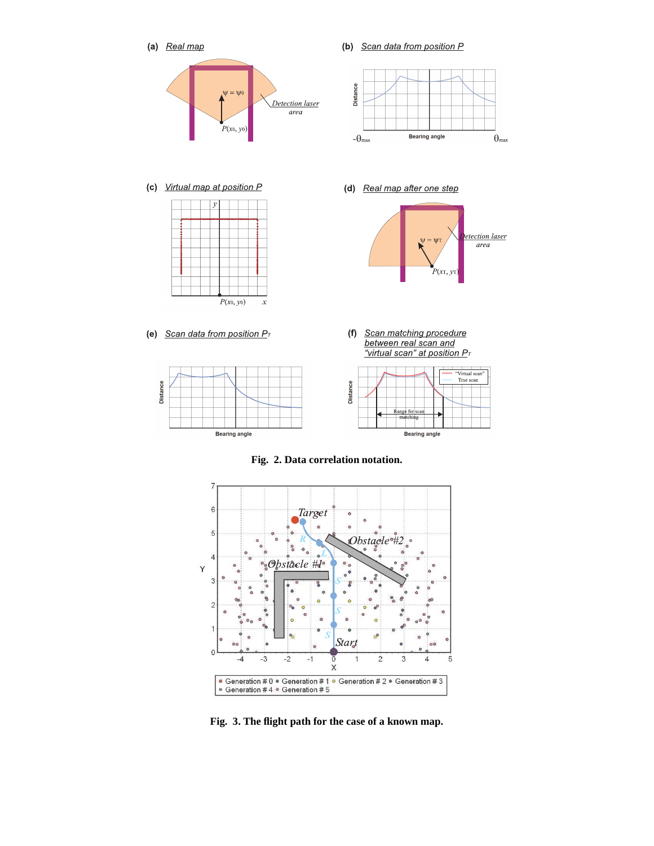



**Fig. 3. The flight path for the case of a known map.**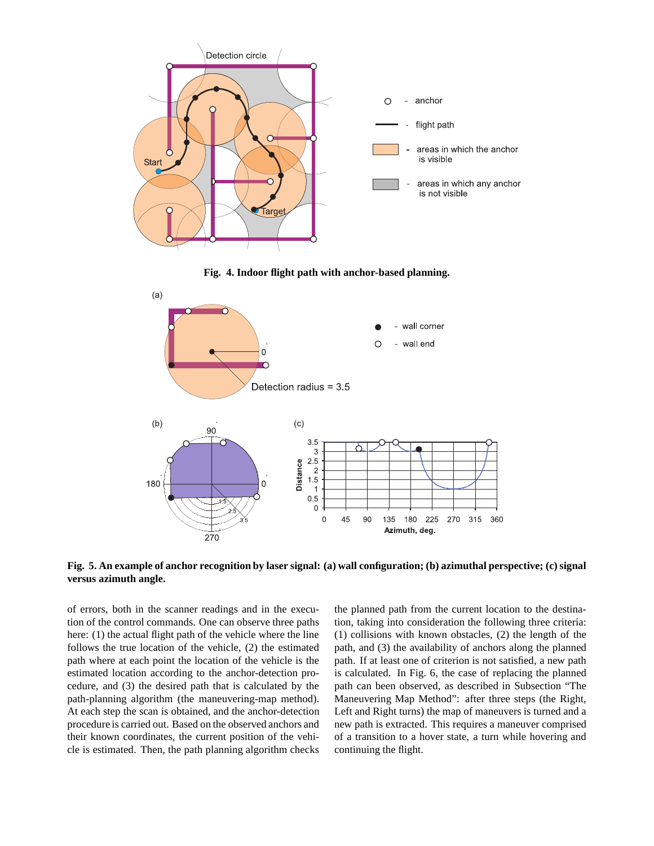

**Fig. 4. Indoor flight path with anchor-based planning.**



**Fig. 5. An example of anchor recognition by laser signal: (a) wall configuration; (b) azimuthal perspective; (c) signal versus azimuth angle.**

of errors, both in the scanner readings and in the execution of the control commands. One can observe three paths here: (1) the actual flight path of the vehicle where the line follows the true location of the vehicle, (2) the estimated path where at each point the location of the vehicle is the estimated location according to the anchor-detection procedure, and (3) the desired path that is calculated by the path-planning algorithm (the maneuvering-map method). At each step the scan is obtained, and the anchor-detection procedure is carried out. Based on the observed anchors and their known coordinates, the current position of the vehicle is estimated. Then, the path planning algorithm checks the planned path from the current location to the destination, taking into consideration the following three criteria: (1) collisions with known obstacles, (2) the length of the path, and (3) the availability of anchors along the planned path. If at least one of criterion is not satisfied, a new path is calculated. In Fig. 6, the case of replacing the planned path can been observed, as described in Subsection "The Maneuvering Map Method": after three steps (the Right, Left and Right turns) the map of maneuvers is turned and a new path is extracted. This requires a maneuver comprised of a transition to a hover state, a turn while hovering and continuing the flight.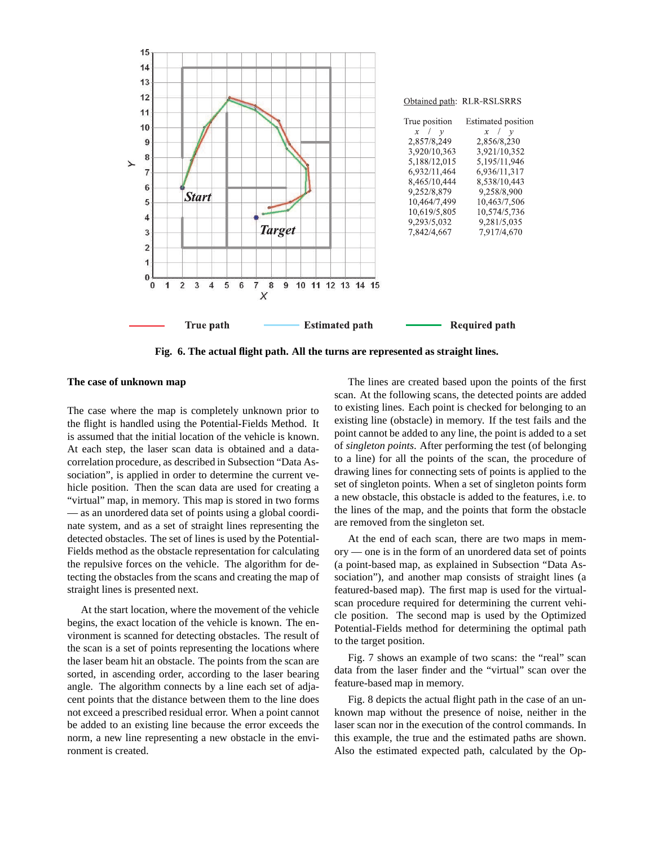

**Fig. 6. The actual flight path. All the turns are represented as straight lines.**

# **The case of unknown map**

The case where the map is completely unknown prior to the flight is handled using the Potential-Fields Method. It is assumed that the initial location of the vehicle is known. At each step, the laser scan data is obtained and a datacorrelation procedure, as described in Subsection "Data Association", is applied in order to determine the current vehicle position. Then the scan data are used for creating a "virtual" map, in memory. This map is stored in two forms — as an unordered data set of points using a global coordinate system, and as a set of straight lines representing the detected obstacles. The set of lines is used by the Potential-Fields method as the obstacle representation for calculating the repulsive forces on the vehicle. The algorithm for detecting the obstacles from the scans and creating the map of straight lines is presented next.

At the start location, where the movement of the vehicle begins, the exact location of the vehicle is known. The environment is scanned for detecting obstacles. The result of the scan is a set of points representing the locations where the laser beam hit an obstacle. The points from the scan are sorted, in ascending order, according to the laser bearing angle. The algorithm connects by a line each set of adjacent points that the distance between them to the line does not exceed a prescribed residual error. When a point cannot be added to an existing line because the error exceeds the norm, a new line representing a new obstacle in the environment is created.

The lines are created based upon the points of the first scan. At the following scans, the detected points are added to existing lines. Each point is checked for belonging to an existing line (obstacle) in memory. If the test fails and the point cannot be added to any line, the point is added to a set of *singleton points*. After performing the test (of belonging to a line) for all the points of the scan, the procedure of drawing lines for connecting sets of points is applied to the set of singleton points. When a set of singleton points form a new obstacle, this obstacle is added to the features, i.e. to the lines of the map, and the points that form the obstacle are removed from the singleton set.

At the end of each scan, there are two maps in memory — one is in the form of an unordered data set of points (a point-based map, as explained in Subsection "Data Association"), and another map consists of straight lines (a featured-based map). The first map is used for the virtualscan procedure required for determining the current vehicle position. The second map is used by the Optimized Potential-Fields method for determining the optimal path to the target position.

Fig. 7 shows an example of two scans: the "real" scan data from the laser finder and the "virtual" scan over the feature-based map in memory.

Fig. 8 depicts the actual flight path in the case of an unknown map without the presence of noise, neither in the laser scan nor in the execution of the control commands. In this example, the true and the estimated paths are shown. Also the estimated expected path, calculated by the Op-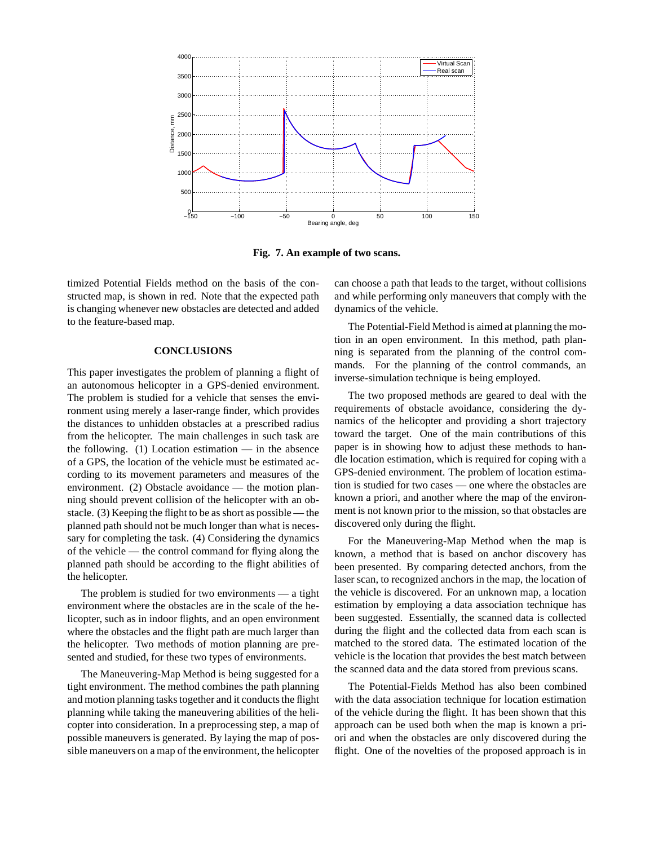

**Fig. 7. An example of two scans.**

timized Potential Fields method on the basis of the constructed map, is shown in red. Note that the expected path is changing whenever new obstacles are detected and added to the feature-based map.

### **CONCLUSIONS**

This paper investigates the problem of planning a flight of an autonomous helicopter in a GPS-denied environment. The problem is studied for a vehicle that senses the environment using merely a laser-range finder, which provides the distances to unhidden obstacles at a prescribed radius from the helicopter. The main challenges in such task are the following.  $(1)$  Location estimation — in the absence of a GPS, the location of the vehicle must be estimated according to its movement parameters and measures of the environment. (2) Obstacle avoidance — the motion planning should prevent collision of the helicopter with an obstacle. (3) Keeping the flight to be as short as possible — the planned path should not be much longer than what is necessary for completing the task. (4) Considering the dynamics of the vehicle — the control command for flying along the planned path should be according to the flight abilities of the helicopter.

The problem is studied for two environments — a tight environment where the obstacles are in the scale of the helicopter, such as in indoor flights, and an open environment where the obstacles and the flight path are much larger than the helicopter. Two methods of motion planning are presented and studied, for these two types of environments.

The Maneuvering-Map Method is being suggested for a tight environment. The method combines the path planning and motion planning tasks together and it conducts the flight planning while taking the maneuvering abilities of the helicopter into consideration. In a preprocessing step, a map of possible maneuvers is generated. By laying the map of possible maneuvers on a map of the environment, the helicopter can choose a path that leads to the target, without collisions and while performing only maneuvers that comply with the dynamics of the vehicle.

The Potential-Field Method is aimed at planning the motion in an open environment. In this method, path planning is separated from the planning of the control commands. For the planning of the control commands, an inverse-simulation technique is being employed.

The two proposed methods are geared to deal with the requirements of obstacle avoidance, considering the dynamics of the helicopter and providing a short trajectory toward the target. One of the main contributions of this paper is in showing how to adjust these methods to handle location estimation, which is required for coping with a GPS-denied environment. The problem of location estimation is studied for two cases — one where the obstacles are known a priori, and another where the map of the environment is not known prior to the mission, so that obstacles are discovered only during the flight.

For the Maneuvering-Map Method when the map is known, a method that is based on anchor discovery has been presented. By comparing detected anchors, from the laser scan, to recognized anchors in the map, the location of the vehicle is discovered. For an unknown map, a location estimation by employing a data association technique has been suggested. Essentially, the scanned data is collected during the flight and the collected data from each scan is matched to the stored data. The estimated location of the vehicle is the location that provides the best match between the scanned data and the data stored from previous scans.

The Potential-Fields Method has also been combined with the data association technique for location estimation of the vehicle during the flight. It has been shown that this approach can be used both when the map is known a priori and when the obstacles are only discovered during the flight. One of the novelties of the proposed approach is in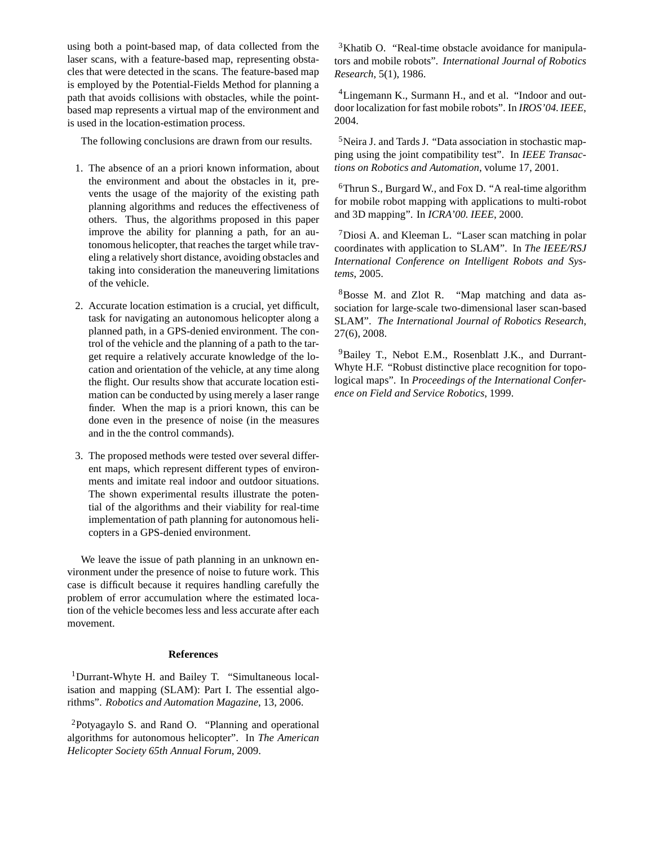using both a point-based map, of data collected from the laser scans, with a feature-based map, representing obstacles that were detected in the scans. The feature-based map is employed by the Potential-Fields Method for planning a path that avoids collisions with obstacles, while the pointbased map represents a virtual map of the environment and is used in the location-estimation process.

The following conclusions are drawn from our results.

- 1. The absence of an a priori known information, about the environment and about the obstacles in it, prevents the usage of the majority of the existing path planning algorithms and reduces the effectiveness of others. Thus, the algorithms proposed in this paper improve the ability for planning a path, for an autonomous helicopter, that reaches the target while traveling a relatively short distance, avoiding obstacles and taking into consideration the maneuvering limitations of the vehicle.
- 2. Accurate location estimation is a crucial, yet difficult, task for navigating an autonomous helicopter along a planned path, in a GPS-denied environment. The control of the vehicle and the planning of a path to the target require a relatively accurate knowledge of the location and orientation of the vehicle, at any time along the flight. Our results show that accurate location estimation can be conducted by using merely a laser range finder. When the map is a priori known, this can be done even in the presence of noise (in the measures and in the the control commands).
- 3. The proposed methods were tested over several different maps, which represent different types of environments and imitate real indoor and outdoor situations. The shown experimental results illustrate the potential of the algorithms and their viability for real-time implementation of path planning for autonomous helicopters in a GPS-denied environment.

We leave the issue of path planning in an unknown environment under the presence of noise to future work. This case is difficult because it requires handling carefully the problem of error accumulation where the estimated location of the vehicle becomes less and less accurate after each movement.

### **References**

<sup>1</sup>Durrant-Whyte H. and Bailey T. "Simultaneous localisation and mapping (SLAM): Part I. The essential algorithms". *Robotics and Automation Magazine*, 13, 2006.

<sup>2</sup>Potyagaylo S. and Rand O. "Planning and operational algorithms for autonomous helicopter". In *The American Helicopter Society 65th Annual Forum*, 2009.

<sup>3</sup>Khatib O. "Real-time obstacle avoidance for manipulators and mobile robots". *International Journal of Robotics Research*, 5(1), 1986.

<sup>4</sup>Lingemann K., Surmann H., and et al. "Indoor and outdoor localization for fast mobile robots". In *IROS'04. IEEE*, 2004.

<sup>5</sup>Neira J. and Tards J. "Data association in stochastic mapping using the joint compatibility test". In *IEEE Transactions on Robotics and Automation*, volume 17, 2001.

 $6$ Thrun S., Burgard W., and Fox D. "A real-time algorithm for mobile robot mapping with applications to multi-robot and 3D mapping". In *ICRA'00. IEEE*, 2000.

<sup>7</sup>Diosi A. and Kleeman L. "Laser scan matching in polar coordinates with application to SLAM". In *The IEEE/RSJ International Conference on Intelligent Robots and Systems*, 2005.

<sup>8</sup>Bosse M. and Zlot R. "Map matching and data association for large-scale two-dimensional laser scan-based SLAM". *The International Journal of Robotics Research*, 27(6), 2008.

<sup>9</sup>Bailey T., Nebot E.M., Rosenblatt J.K., and Durrant-Whyte H.F. "Robust distinctive place recognition for topological maps". In *Proceedings of the International Conference on Field and Service Robotics*, 1999.